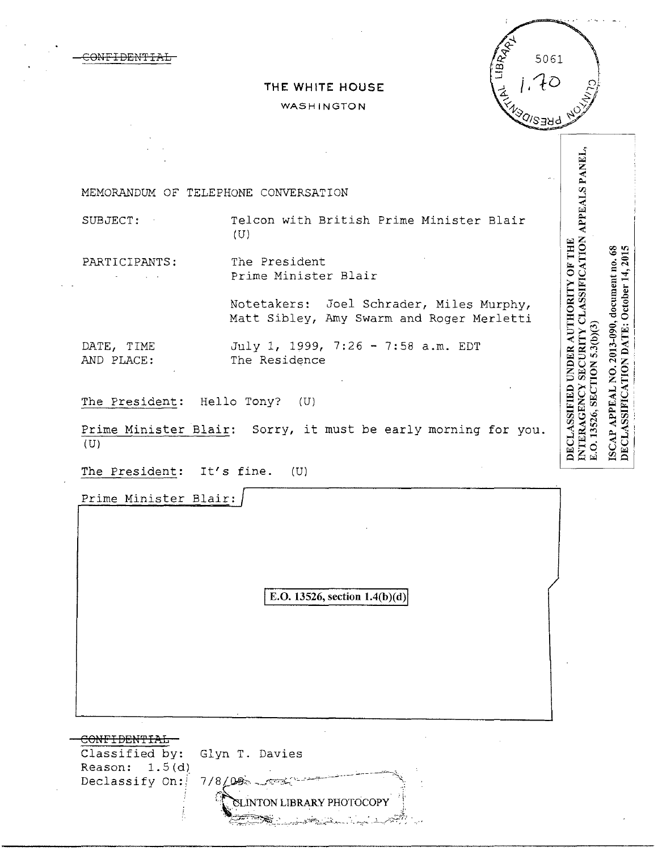CONFIDEN'l'IAL



## **THE WHITE HOUSE**  WASHINGTON

INTERAGENCY SECURITY CLASSIFICATION APPEALS PANEL, MEMORANDUM OF TELEPHONE CONVERSATION SUBJECT: Telcon with British Prime Minister Blair (U) DECLASSIFIED UNDER AUTHORITY OF THE ISCAP APPEAL NO. 2013-090, document no. 68<br>DECLASSIFICATION DATE: October 14, 2015 PARTICIPANTS: The President Prime Minister Blair  $\mathbb{R}^{\mathbb{Z}}$ Notetakers: Joel Schrader, Miles Murphy, Matt Sibley, Amy Swarm and Roger Merletti E.O. 13526, SECTION 5.3(b)(3) DATE, TIME July 1, 1999, 7:26 - 7:58 a.m. EDT AND PLACE: The Residence The President: Hello Tony? (U) Prime Minister Blair: Sorry, it must be early morning for you.  $(U)$ The President: It's fine. (U) Prime Minister Blair: E.O. 13526, section 1.4(b)(d) CONFIDENTIAL Classified by: Glyn T. Davies 7/8G'.'' --~'-""' ----~- ~-->- --~, Reason:  $1.5(d)$ Declassify On: **r**<br>CLINTON LIBRARY PHOTOCOPY<sup>.</sup>

 $\Rightarrow$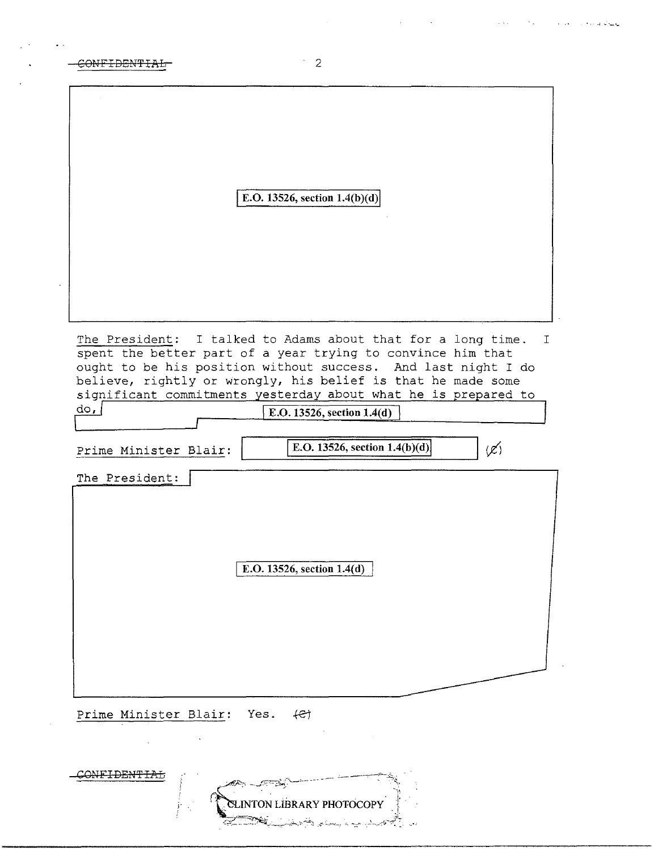| <del>CONFIDENTIAL</del> |  |
|-------------------------|--|
|                         |  |

 $\sim 100$ 

 $\mathcal{A}^{\text{out}}$ 

|                |                       | E.O. 13526, section $1.4(b)(d)$ |                                                                                                                                                                                                                                                                                                                                |                 |
|----------------|-----------------------|---------------------------------|--------------------------------------------------------------------------------------------------------------------------------------------------------------------------------------------------------------------------------------------------------------------------------------------------------------------------------|-----------------|
|                |                       |                                 |                                                                                                                                                                                                                                                                                                                                |                 |
|                |                       |                                 |                                                                                                                                                                                                                                                                                                                                |                 |
|                |                       |                                 |                                                                                                                                                                                                                                                                                                                                |                 |
| $d$ o, $ $     |                       | E.O. 13526, section 1.4(d)      | The President: I talked to Adams about that for a long time.<br>spent the better part of a year trying to convince him that<br>ought to be his position without success. And last night I do<br>believe, rightly or wrongly, his belief is that he made some<br>significant commitments yesterday about what he is prepared to |                 |
|                | Prime Minister Blair: |                                 | E.O. 13526, section $1.4(b)(d)$                                                                                                                                                                                                                                                                                                | $(\mathscr{L})$ |
| The President: |                       | E.O. 13526, section 1.4(d)      |                                                                                                                                                                                                                                                                                                                                |                 |
|                |                       |                                 |                                                                                                                                                                                                                                                                                                                                |                 |
|                |                       |                                 |                                                                                                                                                                                                                                                                                                                                |                 |

ELINTON LIBRARY PHOTOCOPY CONFIDENTIAL Č,

 $\begin{bmatrix} 1 & 2 \end{bmatrix}$ 

.. .. ~ ·-· ·~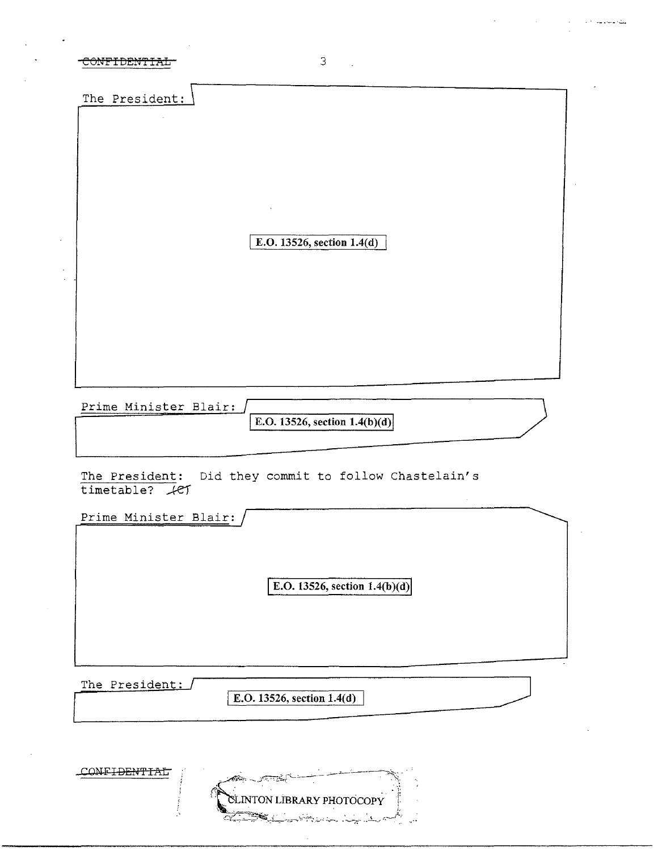| 3<br>UNI I DENTIA                                                       |  |
|-------------------------------------------------------------------------|--|
| The President:                                                          |  |
|                                                                         |  |
|                                                                         |  |
|                                                                         |  |
| E.O. 13526, section 1.4(d)                                              |  |
|                                                                         |  |
|                                                                         |  |
|                                                                         |  |
| Prime Minister Blair:                                                   |  |
| E.O. 13526, section $1.4(b)(d)$                                         |  |
| The President: Did they commit to follow Chastelain's<br>timetable? $#$ |  |
| Prime Minister Blair:                                                   |  |
|                                                                         |  |
| E.O. 13526, section $1.4(b)(d)$                                         |  |
|                                                                         |  |
|                                                                         |  |

 $\mathcal{A}^{\mathcal{A}}$  , where  $\mathcal{A}^{\mathcal{A}}$  is the contribution of the contribution of  $\mathcal{A}^{\mathcal{A}}$ 

The President:

E.O. 13526, section  $1.4(d)$ 

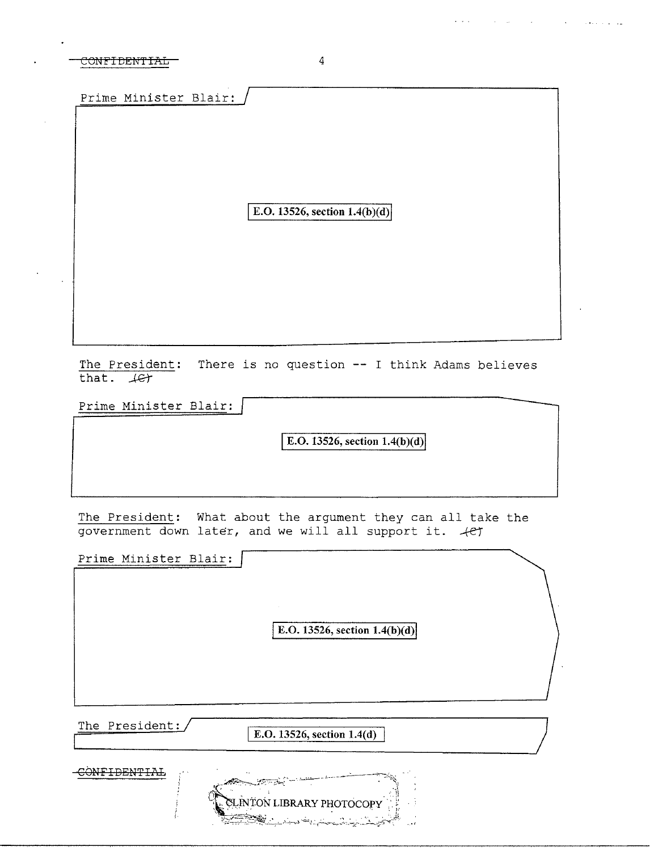## CONFIDENTIAL

Prime Minister Blair:

E.O. 13526, section  $1.4(b)(d)$ 

The President: There is no question -- I think Adams believes that.  $45$ 

Prime Minister Blair:

E.O. 13526, section  $1.4(b)(d)$ 

The President: What about the argument they can all take the government down later, and we will all support it. 4et

Prime Minister Blair:

E.O. 13526, section  $1.4(b)(d)$ 

The President:

E.O. 13526, section  $1.4(d)$ 

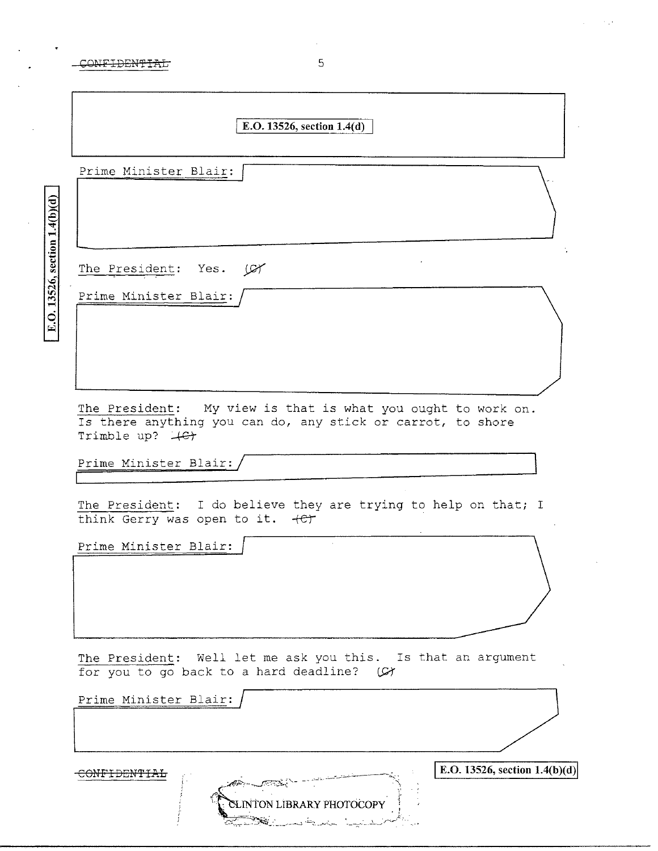E.O. 13526, section  $1.4(b)(d)$ 

| E.O. 13526, section $1.4(d)$                                                                                                                   |
|------------------------------------------------------------------------------------------------------------------------------------------------|
| Prime Minister Blair:                                                                                                                          |
| The President: Yes. (CY                                                                                                                        |
| Prime Minister Blair: /                                                                                                                        |
| The President: My view is that is what you ought to work on.<br>Is there anything you can do, any stick or carrot, to shore<br>Trimble up? 4G+ |
| Prime Minister Blair:                                                                                                                          |
| The President: I do believe they are trying to help on that; I<br>think Gerry was open to it. +et                                              |
| Prime Minister Blair:                                                                                                                          |
| The President: Well let me ask you this. Is that an argument<br>for you to go back to a hard deadline? (C)                                     |
| Prime Minister Blair:                                                                                                                          |
| E.O. 13526, section $1.4(b)(d)$<br><del>JFIDENTIAL</del><br>CLINTON LIBRARY PHOTOCOPY<br>بدينينا المعدية بسينك                                 |

 $\sim 10$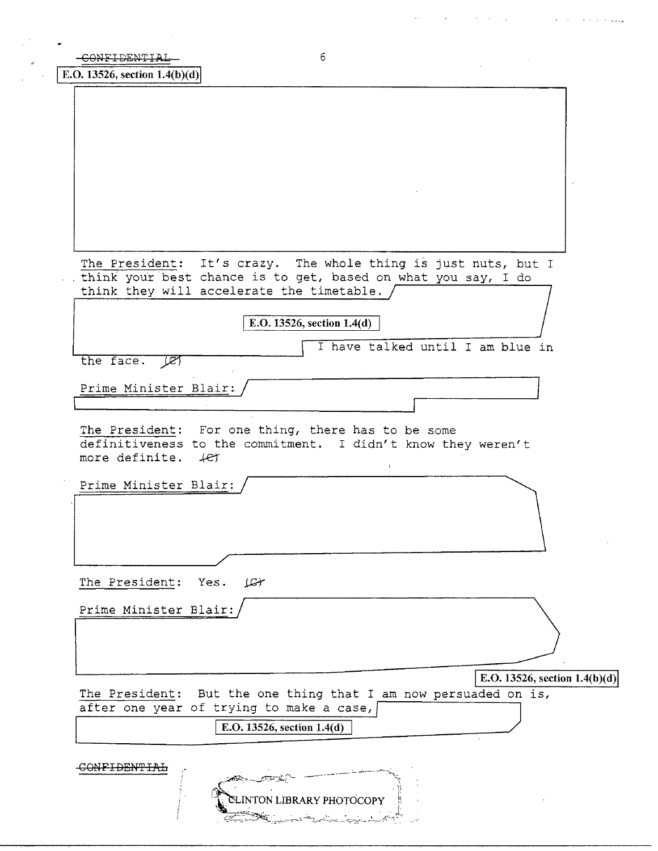| 6<br>CONFIDENTIAL                                                                                                                                                            |
|------------------------------------------------------------------------------------------------------------------------------------------------------------------------------|
| E.O. 13526, section $1.4(b)(d)$                                                                                                                                              |
|                                                                                                                                                                              |
|                                                                                                                                                                              |
|                                                                                                                                                                              |
|                                                                                                                                                                              |
|                                                                                                                                                                              |
|                                                                                                                                                                              |
|                                                                                                                                                                              |
|                                                                                                                                                                              |
| The President: It's crazy. The whole thing is just nuts, but I<br>think your best chance is to get, based on what you say, I do<br>think they will accelerate the timetable. |
|                                                                                                                                                                              |
| E.O. 13526, section 1.4(d)                                                                                                                                                   |
| I have talked until I am blue in<br>the face.<br>ाञ्च                                                                                                                        |
| Prime Minister Blair:                                                                                                                                                        |
|                                                                                                                                                                              |
| The President: For one thing, there has to be some<br>definitiveness to the commitment. I didn't know they weren't<br>more definite. $4e\tau$<br>$\ddot{\phantom{1}}$        |
| Prime Minister Blair:                                                                                                                                                        |
|                                                                                                                                                                              |
|                                                                                                                                                                              |
| The President: Yes.<br>تهيئله                                                                                                                                                |
| Prime Minister Blair:                                                                                                                                                        |
|                                                                                                                                                                              |
|                                                                                                                                                                              |
|                                                                                                                                                                              |
| E.O. 13526, section $1.4(b)(d)$<br>The President: But the one thing that I am now persuaded on is,                                                                           |
| after one year of trying to make a case,                                                                                                                                     |
| E.O. 13526, section 1.4(d)                                                                                                                                                   |
|                                                                                                                                                                              |
| <del>ONFIDENTI</del>                                                                                                                                                         |
| <b>CLINTON LIBRARY PHOTOCOPY</b>                                                                                                                                             |
|                                                                                                                                                                              |

المستحدث والمحاف والمحافي والمتحدث والمحافظ والمحافظ والمحافظ والمحافظ